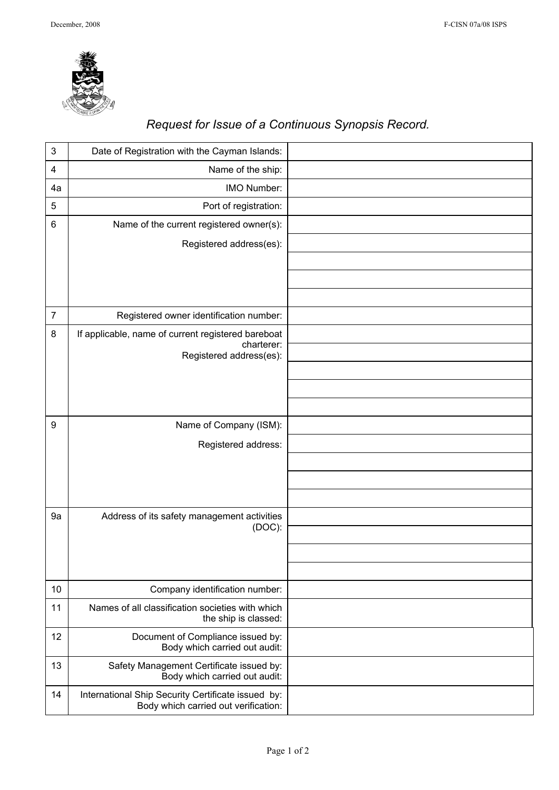

## *Request for Issue of a Continuous Synopsis Record.*

| 3              | Date of Registration with the Cayman Islands:                                              |  |
|----------------|--------------------------------------------------------------------------------------------|--|
| 4              | Name of the ship:                                                                          |  |
| 4a             | IMO Number:                                                                                |  |
| 5              | Port of registration:                                                                      |  |
| 6              | Name of the current registered owner(s):                                                   |  |
|                | Registered address(es):                                                                    |  |
|                |                                                                                            |  |
|                |                                                                                            |  |
|                |                                                                                            |  |
| $\overline{7}$ | Registered owner identification number:                                                    |  |
| 8              | If applicable, name of current registered bareboat                                         |  |
|                | charterer:<br>Registered address(es):                                                      |  |
|                |                                                                                            |  |
|                |                                                                                            |  |
|                |                                                                                            |  |
| 9              | Name of Company (ISM):                                                                     |  |
|                | Registered address:                                                                        |  |
|                |                                                                                            |  |
|                |                                                                                            |  |
|                |                                                                                            |  |
| 9a             | Address of its safety management activities<br>$(DOC)$ :                                   |  |
|                |                                                                                            |  |
|                |                                                                                            |  |
|                |                                                                                            |  |
| 10             | Company identification number:                                                             |  |
| 11             | Names of all classification societies with which<br>the ship is classed:                   |  |
| 12             | Document of Compliance issued by:<br>Body which carried out audit:                         |  |
| 13             | Safety Management Certificate issued by:<br>Body which carried out audit:                  |  |
| 14             | International Ship Security Certificate issued by:<br>Body which carried out verification: |  |